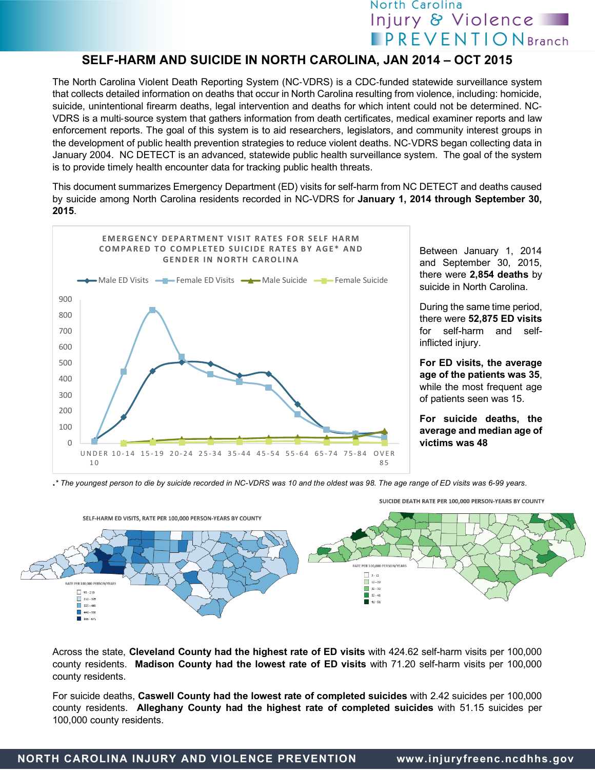## North Carolina Injury & Violence **PREVENTIONBranch**

## **SELF-HARM AND SUICIDE IN NORTH CAROLINA, JAN 2014 – OCT 2015**

The North Carolina Violent Death Reporting System (NC-VDRS) is a CDC-funded statewide surveillance system that collects detailed information on deaths that occur in North Carolina resulting from violence, including: homicide, suicide, unintentional firearm deaths, legal intervention and deaths for which intent could not be determined. NC-VDRS is a multi-source system that gathers information from death certificates, medical examiner reports and law enforcement reports. The goal of this system is to aid researchers, legislators, and community interest groups in the development of public health prevention strategies to reduce violent deaths. NC-VDRS began collecting data in January 2004. NC DETECT is an advanced, statewide public health surveillance system. The goal of the system is to provide timely health encounter data for tracking public health threats.

This document summarizes Emergency Department (ED) visits for self-harm from NC DETECT and deaths caused by suicide among North Carolina residents recorded in NC-VDRS for **January 1, 2014 through September 30, 2015**.



Between January 1, 2014 and September 30, 2015, there were **2,854 deaths** by suicide in North Carolina.

During the same time period, there were **52,875 ED visits** for self-harm and selfinflicted injury.

**For ED visits, the average age of the patients was 35**, while the most frequent age of patients seen was 15.

**For suicide deaths, the average and median age of victims was 48**

**.***\* The youngest person to die by suicide recorded in NC-VDRS was 10 and the oldest was 98. The age range of ED visits was 6-99 years.*



SUICIDE DEATH RATE PER 100,000 PERSON-YEARS BY COUNTY

Across the state, **Cleveland County had the highest rate of ED visits** with 424.62 self-harm visits per 100,000 county residents. **Madison County had the lowest rate of ED visits** with 71.20 self-harm visits per 100,000 county residents.

For suicide deaths, **Caswell County had the lowest rate of completed suicides** with 2.42 suicides per 100,000 county residents. **Alleghany County had the highest rate of completed suicides** with 51.15 suicides per 100,000 county residents.